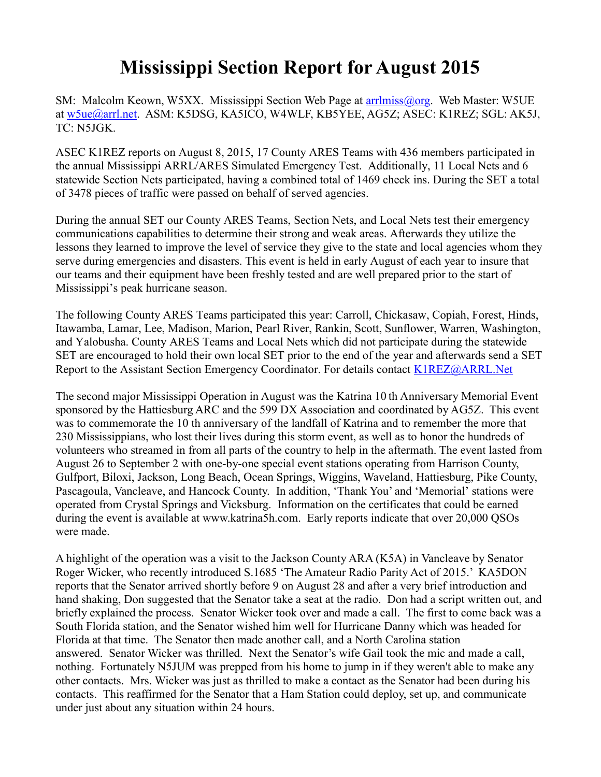## **Mississippi Section Report for August 2015**

SM: Malcolm Keown, W5XX. Mississippi Section Web Page at [arrlmiss@org.](mailto:arrlmiss@org) Web Master: W5UE at [w5ue@arrl.net.](mailto:w5ue@arrl.net) ASM: K5DSG, KA5ICO, W4WLF, KB5YEE, AG5Z; ASEC: K1REZ; SGL: AK5J, TC: N5JGK.

ASEC K1REZ reports on August 8, 2015, 17 County ARES Teams with 436 members participated in the annual Mississippi ARRL/ARES Simulated Emergency Test. Additionally, 11 Local Nets and 6 statewide Section Nets participated, having a combined total of 1469 check ins. During the SET a total of 3478 pieces of traffic were passed on behalf of served agencies.

During the annual SET our County ARES Teams, Section Nets, and Local Nets test their emergency communications capabilities to determine their strong and weak areas. Afterwards they utilize the lessons they learned to improve the level of service they give to the state and local agencies whom they serve during emergencies and disasters. This event is held in early August of each year to insure that our teams and their equipment have been freshly tested and are well prepared prior to the start of Mississippi's peak hurricane season.

The following County ARES Teams participated this year: Carroll, Chickasaw, Copiah, Forest, Hinds, Itawamba, Lamar, Lee, Madison, Marion, Pearl River, Rankin, Scott, Sunflower, Warren, Washington, and Yalobusha. County ARES Teams and Local Nets which did not participate during the statewide SET are encouraged to hold their own local SET prior to the end of the year and afterwards send a SET Report to the Assistant Section Emergency Coordinator. For details contact [K1REZ@ARRL.Net](mailto:K1REZ@ARRL.Net)

The second major Mississippi Operation in August was the Katrina 10 th Anniversary Memorial Event sponsored by the Hattiesburg ARC and the 599 DX Association and coordinated by AG5Z. This event was to commemorate the 10 th anniversary of the landfall of Katrina and to remember the more that 230 Mississippians, who lost their lives during this storm event, as well as to honor the hundreds of volunteers who streamed in from all parts of the country to help in the aftermath. The event lasted from August 26 to September 2 with one-by-one special event stations operating from Harrison County, Gulfport, Biloxi, Jackson, Long Beach, Ocean Springs, Wiggins, Waveland, Hattiesburg, Pike County, Pascagoula, Vancleave, and Hancock County. In addition, 'Thank You' and 'Memorial' stations were operated from Crystal Springs and Vicksburg. Information on the certificates that could be earned during the event is available at www.katrina5h.com. Early reports indicate that over 20,000 QSOs were made.

A highlight of the operation was a visit to the Jackson County ARA (K5A) in Vancleave by Senator Roger Wicker, who recently introduced S.1685 'The Amateur Radio Parity Act of 2015.' KA5DON reports that the Senator arrived shortly before 9 on August 28 and after a very brief introduction and hand shaking, Don suggested that the Senator take a seat at the radio. Don had a script written out, and briefly explained the process. Senator Wicker took over and made a call. The first to come back was a South Florida station, and the Senator wished him well for Hurricane Danny which was headed for Florida at that time. The Senator then made another call, and a North Carolina station answered. Senator Wicker was thrilled. Next the Senator's wife Gail took the mic and made a call, nothing. Fortunately N5JUM was prepped from his home to jump in if they weren't able to make any other contacts. Mrs. Wicker was just as thrilled to make a contact as the Senator had been during his contacts. This reaffirmed for the Senator that a Ham Station could deploy, set up, and communicate under just about any situation within 24 hours.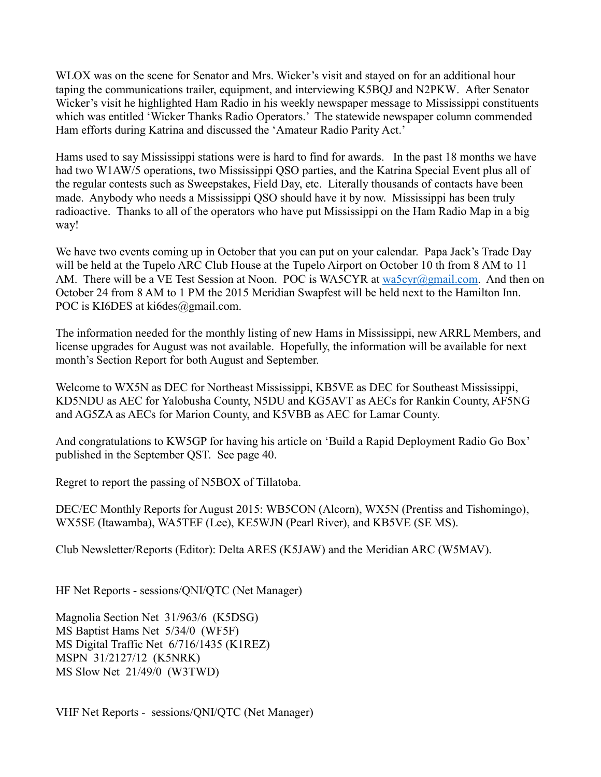WLOX was on the scene for Senator and Mrs. Wicker's visit and stayed on for an additional hour taping the communications trailer, equipment, and interviewing K5BQJ and N2PKW. After Senator Wicker's visit he highlighted Ham Radio in his weekly newspaper message to Mississippi constituents which was entitled 'Wicker Thanks Radio Operators.' The statewide newspaper column commended Ham efforts during Katrina and discussed the 'Amateur Radio Parity Act.'

Hams used to say Mississippi stations were is hard to find for awards. In the past 18 months we have had two W1AW/5 operations, two Mississippi QSO parties, and the Katrina Special Event plus all of the regular contests such as Sweepstakes, Field Day, etc. Literally thousands of contacts have been made. Anybody who needs a Mississippi QSO should have it by now. Mississippi has been truly radioactive. Thanks to all of the operators who have put Mississippi on the Ham Radio Map in a big way!

We have two events coming up in October that you can put on your calendar. Papa Jack's Trade Day will be held at the Tupelo ARC Club House at the Tupelo Airport on October 10 th from 8 AM to 11 AM. There will be a VE Test Session at Noon. POC is WA5CYR at [wa5cyr@gmail.com.](mailto:wa5cyr@gmail.com) And then on October 24 from 8 AM to 1 PM the 2015 Meridian Swapfest will be held next to the Hamilton Inn. POC is KI6DES at ki6des@gmail.com.

The information needed for the monthly listing of new Hams in Mississippi, new ARRL Members, and license upgrades for August was not available. Hopefully, the information will be available for next month's Section Report for both August and September.

Welcome to WX5N as DEC for Northeast Mississippi, KB5VE as DEC for Southeast Mississippi, KD5NDU as AEC for Yalobusha County, N5DU and KG5AVT as AECs for Rankin County, AF5NG and AG5ZA as AECs for Marion County, and K5VBB as AEC for Lamar County.

And congratulations to KW5GP for having his article on 'Build a Rapid Deployment Radio Go Box' published in the September QST. See page 40.

Regret to report the passing of N5BOX of Tillatoba.

DEC/EC Monthly Reports for August 2015: WB5CON (Alcorn), WX5N (Prentiss and Tishomingo), WX5SE (Itawamba), WA5TEF (Lee), KE5WJN (Pearl River), and KB5VE (SE MS).

Club Newsletter/Reports (Editor): Delta ARES (K5JAW) and the Meridian ARC (W5MAV).

HF Net Reports - sessions/QNI/QTC (Net Manager)

Magnolia Section Net 31/963/6 (K5DSG) MS Baptist Hams Net 5/34/0 (WF5F) MS Digital Traffic Net 6/716/1435 (K1REZ) MSPN 31/2127/12 (K5NRK) MS Slow Net 21/49/0 (W3TWD)

VHF Net Reports - sessions/QNI/QTC (Net Manager)